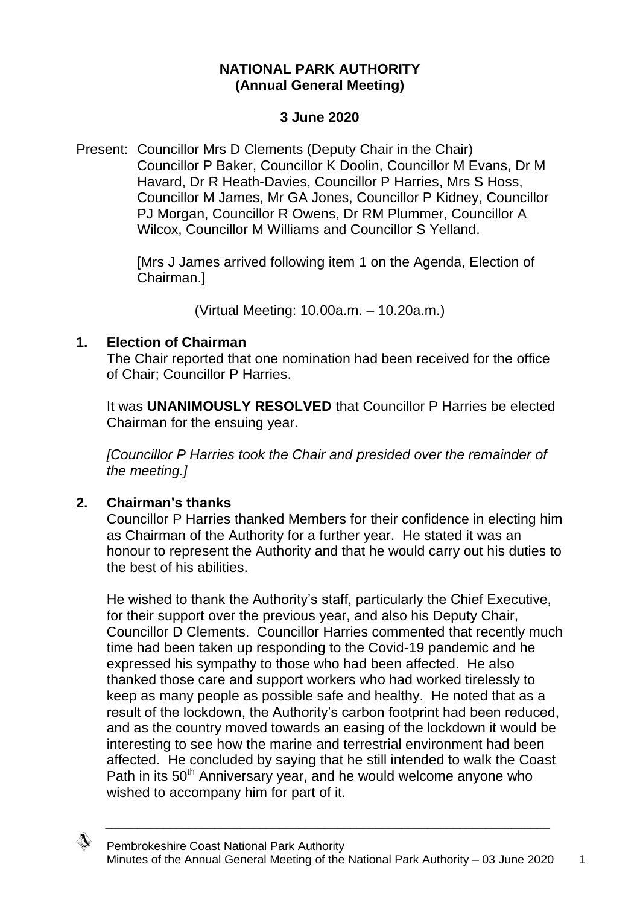## **NATIONAL PARK AUTHORITY (Annual General Meeting)**

#### **3 June 2020**

Present: Councillor Mrs D Clements (Deputy Chair in the Chair) Councillor P Baker, Councillor K Doolin, Councillor M Evans, Dr M Havard, Dr R Heath-Davies, Councillor P Harries, Mrs S Hoss, Councillor M James, Mr GA Jones, Councillor P Kidney, Councillor PJ Morgan, Councillor R Owens, Dr RM Plummer, Councillor A Wilcox, Councillor M Williams and Councillor S Yelland.

> [Mrs J James arrived following item 1 on the Agenda, Election of Chairman.]

> > (Virtual Meeting: 10.00a.m. – 10.20a.m.)

#### **1. Election of Chairman**

The Chair reported that one nomination had been received for the office of Chair; Councillor P Harries.

It was **UNANIMOUSLY RESOLVED** that Councillor P Harries be elected Chairman for the ensuing year.

*[Councillor P Harries took the Chair and presided over the remainder of the meeting.]*

#### **2. Chairman's thanks**

</del>

Councillor P Harries thanked Members for their confidence in electing him as Chairman of the Authority for a further year. He stated it was an honour to represent the Authority and that he would carry out his duties to the best of his abilities.

He wished to thank the Authority's staff, particularly the Chief Executive, for their support over the previous year, and also his Deputy Chair, Councillor D Clements. Councillor Harries commented that recently much time had been taken up responding to the Covid-19 pandemic and he expressed his sympathy to those who had been affected. He also thanked those care and support workers who had worked tirelessly to keep as many people as possible safe and healthy. He noted that as a result of the lockdown, the Authority's carbon footprint had been reduced, and as the country moved towards an easing of the lockdown it would be interesting to see how the marine and terrestrial environment had been affected. He concluded by saying that he still intended to walk the Coast Path in its 50<sup>th</sup> Anniversary year, and he would welcome anyone who wished to accompany him for part of it.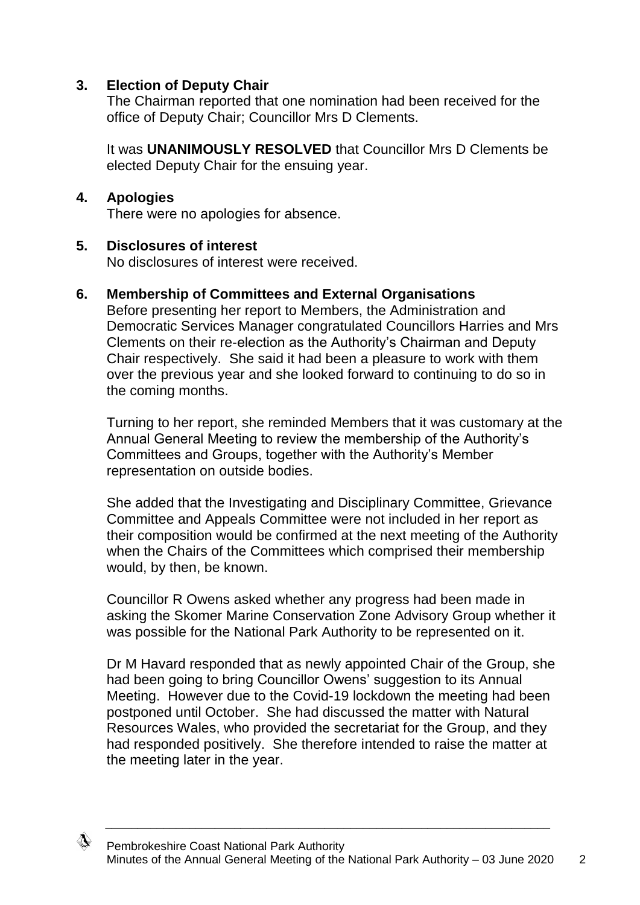## **3. Election of Deputy Chair**

The Chairman reported that one nomination had been received for the office of Deputy Chair; Councillor Mrs D Clements.

It was **UNANIMOUSLY RESOLVED** that Councillor Mrs D Clements be elected Deputy Chair for the ensuing year.

#### **4. Apologies**

There were no apologies for absence.

#### **5. Disclosures of interest**

No disclosures of interest were received.

#### **6. Membership of Committees and External Organisations**

Before presenting her report to Members, the Administration and Democratic Services Manager congratulated Councillors Harries and Mrs Clements on their re-election as the Authority's Chairman and Deputy Chair respectively. She said it had been a pleasure to work with them over the previous year and she looked forward to continuing to do so in the coming months.

Turning to her report, she reminded Members that it was customary at the Annual General Meeting to review the membership of the Authority's Committees and Groups, together with the Authority's Member representation on outside bodies.

She added that the Investigating and Disciplinary Committee, Grievance Committee and Appeals Committee were not included in her report as their composition would be confirmed at the next meeting of the Authority when the Chairs of the Committees which comprised their membership would, by then, be known.

Councillor R Owens asked whether any progress had been made in asking the Skomer Marine Conservation Zone Advisory Group whether it was possible for the National Park Authority to be represented on it.

Dr M Havard responded that as newly appointed Chair of the Group, she had been going to bring Councillor Owens' suggestion to its Annual Meeting. However due to the Covid-19 lockdown the meeting had been postponed until October. She had discussed the matter with Natural Resources Wales, who provided the secretariat for the Group, and they had responded positively. She therefore intended to raise the matter at the meeting later in the year.

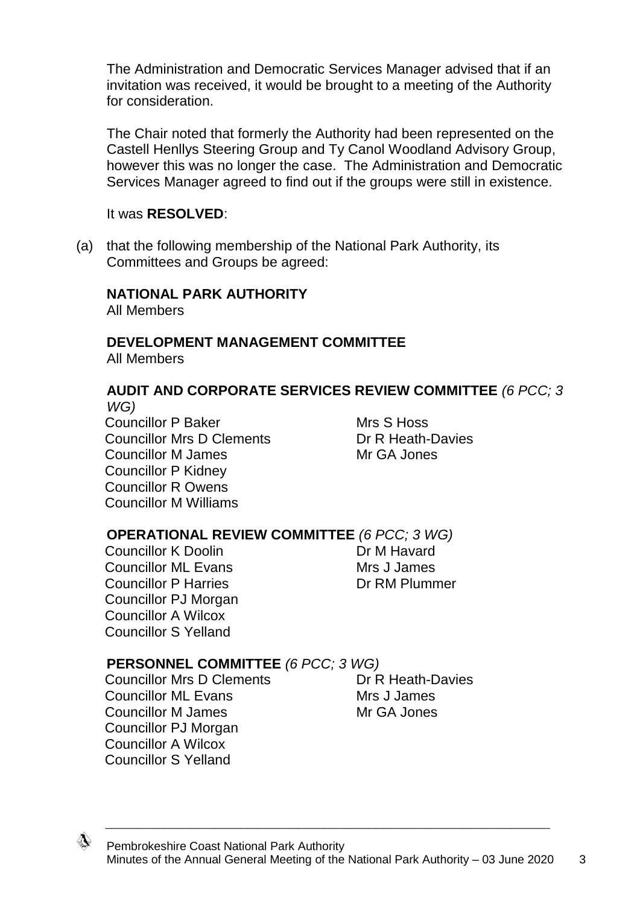The Administration and Democratic Services Manager advised that if an invitation was received, it would be brought to a meeting of the Authority for consideration.

The Chair noted that formerly the Authority had been represented on the Castell Henllys Steering Group and Ty Canol Woodland Advisory Group, however this was no longer the case. The Administration and Democratic Services Manager agreed to find out if the groups were still in existence.

#### It was **RESOLVED**:

(a) that the following membership of the National Park Authority, its Committees and Groups be agreed:

#### **NATIONAL PARK AUTHORITY**

All Members

# **DEVELOPMENT MANAGEMENT COMMITTEE**

All Members

#### **AUDIT AND CORPORATE SERVICES REVIEW COMMITTEE** *(6 PCC; 3 WG)*

Councillor P Baker Mrs S Hoss Councillor Mrs D Clements **Dr R Heath-Davies** Councillor M James Mr GA Jones Councillor P Kidney Councillor R Owens Councillor M Williams

#### **OPERATIONAL REVIEW COMMITTEE** *(6 PCC; 3 WG)*

Councillor K Doolin **Dr M Havard** Councillor ML Evans Mrs J James Councillor P Harries **Dr RM Plummer** Councillor PJ Morgan Councillor A Wilcox Councillor S Yelland

#### **PERSONNEL COMMITTEE** *(6 PCC; 3 WG)*

Councillor Mrs D Clements Dr R Heath-Davies Councillor ML Evans Music Mrs J James Councillor M James Mr GA Jones Councillor PJ Morgan Councillor A Wilcox Councillor S Yelland

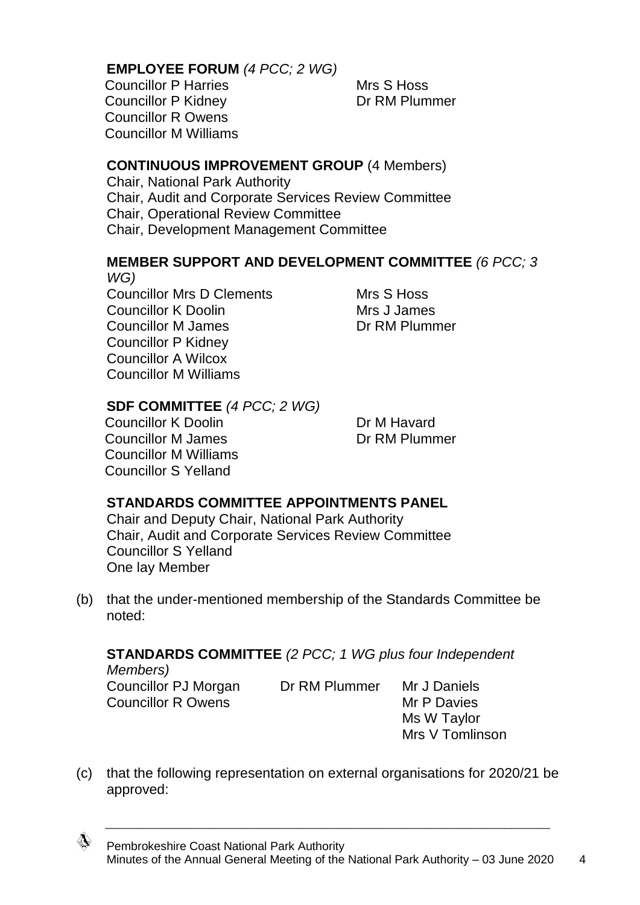#### **EMPLOYEE FORUM** *(4 PCC; 2 WG)*

Councillor P Harries Mrs S Hoss Councillor P Kidney **Dr RM Plummer** Councillor R Owens Councillor M Williams

#### **CONTINUOUS IMPROVEMENT GROUP** (4 Members)

Chair, National Park Authority Chair, Audit and Corporate Services Review Committee Chair, Operational Review Committee Chair, Development Management Committee

#### **MEMBER SUPPORT AND DEVELOPMENT COMMITTEE** *(6 PCC; 3 WG)*

Councillor Mrs D Clements Mrs S Hoss Councillor K Doolin Mrs J James Councillor M James Dr RM Plummer Councillor P Kidney Councillor A Wilcox Councillor M Williams

#### **SDF COMMITTEE** *(4 PCC; 2 WG)*

Councillor K Doolin **Dr M Havard** Councillor M James Dr RM Plummer Councillor M Williams Councillor S Yelland

# **STANDARDS COMMITTEE APPOINTMENTS PANEL**

Chair and Deputy Chair, National Park Authority Chair, Audit and Corporate Services Review Committee Councillor S Yelland One lay Member

(b) that the under-mentioned membership of the Standards Committee be noted:

# **STANDARDS COMMITTEE** *(2 PCC; 1 WG plus four Independent*

*Members)* Councillor PJ Morgan Dr RM Plummer Mr J Daniels Councillor R Owens Mr P Davies

Ms W Taylor Mrs V Tomlinson

(c) that the following representation on external organisations for 2020/21 be approved:

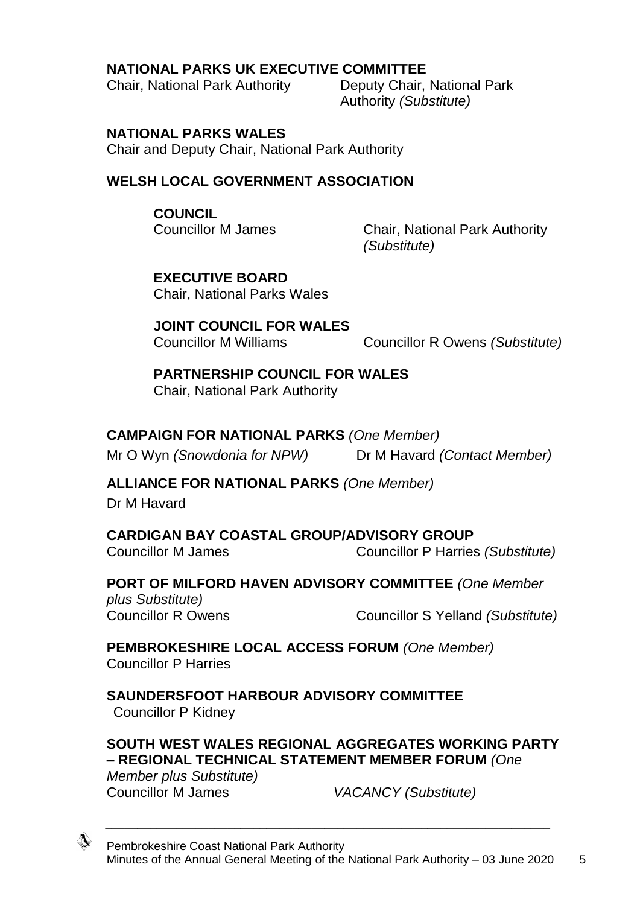## **NATIONAL PARKS UK EXECUTIVE COMMITTEE**

Chair, National Park Authority Deputy Chair, National Park

Authority *(Substitute)*

#### **NATIONAL PARKS WALES**

Chair and Deputy Chair, National Park Authority

## **WELSH LOCAL GOVERNMENT ASSOCIATION**

#### **COUNCIL**

Councillor M James Chair, National Park Authority *(Substitute)*

**EXECUTIVE BOARD** Chair, National Parks Wales

**JOINT COUNCIL FOR WALES** Councillor M Williams Councillor R Owens *(Substitute)*

**PARTNERSHIP COUNCIL FOR WALES** Chair, National Park Authority

# **CAMPAIGN FOR NATIONAL PARKS** *(One Member)*

Mr O Wyn *(Snowdonia for NPW)* Dr M Havard *(Contact Member)*

# **ALLIANCE FOR NATIONAL PARKS** *(One Member)*

Dr M Havard

**CARDIGAN BAY COASTAL GROUP/ADVISORY GROUP** Councillor M James Councillor P Harries *(Substitute)*

**PORT OF MILFORD HAVEN ADVISORY COMMITTEE** *(One Member plus Substitute)* Councillor R Owens Councillor S Yelland *(Substitute)*

**PEMBROKESHIRE LOCAL ACCESS FORUM** *(One Member)* Councillor P Harries

**SAUNDERSFOOT HARBOUR ADVISORY COMMITTEE** Councillor P Kidney

# **SOUTH WEST WALES REGIONAL AGGREGATES WORKING PARTY – REGIONAL TECHNICAL STATEMENT MEMBER FORUM** *(One*

\_\_\_\_\_\_\_\_\_\_\_\_\_\_\_\_\_\_\_\_\_\_\_\_\_\_\_\_\_\_\_\_\_\_\_\_\_\_\_\_\_\_\_\_\_\_\_\_\_\_\_\_\_\_\_\_\_\_\_\_\_\_\_\_\_\_\_\_\_

*Member plus Substitute)* Councillor M James *VACANCY (Substitute)*

</del>